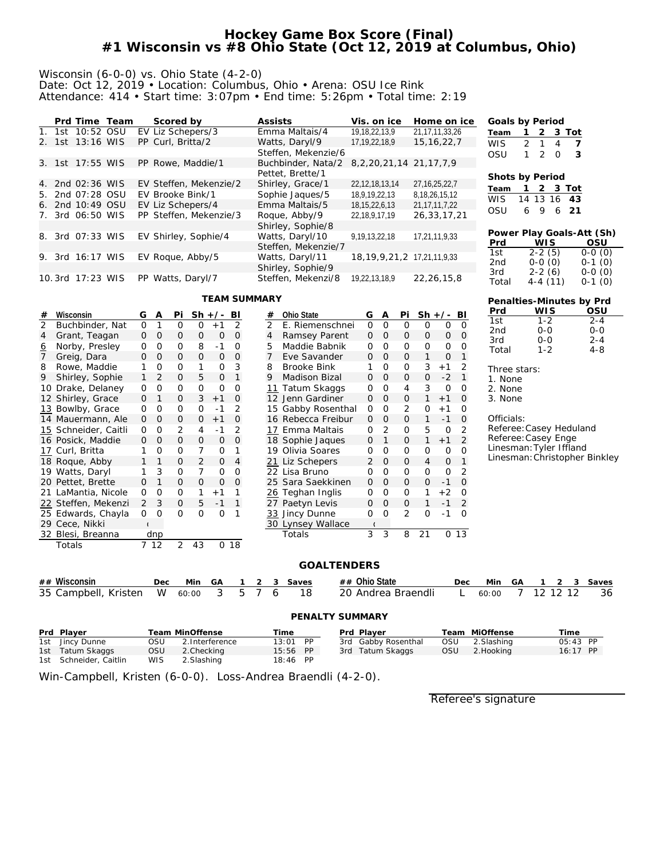## **Hockey Game Box Score (Final) #1 Wisconsin vs #8 Ohio State (Oct 12, 2019 at Columbus, Ohio)**

#### Wisconsin (6-0-0) vs. Ohio State (4-2-0) Date: Oct 12, 2019 • Location: Columbus, Ohio • Arena: OSU Ice Rink Attendance: 414 • Start time: 3:07pm • End time: 5:26pm • Total time: 2:19

|        | Prd Time Team    |  | Scored by              | Assists             | Vis. on ice                          | Home on ice       | Goals by Period |                               |          |                           |
|--------|------------------|--|------------------------|---------------------|--------------------------------------|-------------------|-----------------|-------------------------------|----------|---------------------------|
|        | 1. 1st 10:52 OSU |  | EV Liz Schepers/3      | Emma Maltais/4      | 19, 18, 22, 13, 9                    | 21,17,11,33,26    | Team            | 2                             |          | 3 Tot                     |
|        | 2. 1st 13:16 WIS |  | PP Curl, Britta/2      | Watts, Daryl/9      | 17, 19, 22, 18, 9                    | 15, 16, 22, 7     | <b>WIS</b>      | 2 <sub>1</sub>                | 4        | - 7                       |
|        |                  |  |                        | Steffen, Mekenzie/6 |                                      |                   | OSU             | $\mathcal{P}$<br>$\mathbf{1}$ | $\Omega$ | -3                        |
|        | 3. 1st 17:55 WIS |  | PP Rowe, Maddie/1      | Buchbinder, Nata/2  | 8, 2, 20, 21, 14 21, 17, 7, 9        |                   |                 |                               |          |                           |
|        |                  |  |                        | Pettet, Brette/1    |                                      |                   | Shots by Period |                               |          |                           |
|        | 4. 2nd 02:36 WIS |  | EV Steffen, Mekenzie/2 | Shirley, Grace/1    | 22, 12, 18, 13, 14                   | 27, 16, 25, 22, 7 | Team            |                               |          | 2 3 Tot                   |
|        | 5. 2nd 07:28 OSU |  | EV Brooke Bink/1       | Sophie Jaques/5     | 18,9,19,22,13                        | 8, 18, 26, 15, 12 | <b>WIS</b>      | 14 13 16 43                   |          |                           |
|        | 6. 2nd 10:49 OSU |  | EV Liz Schepers/4      | Emma Maltais/5      | 18, 15, 22, 6, 13                    | 21, 17, 11, 7, 22 |                 |                               |          |                           |
|        | 7. 3rd 06:50 WIS |  | PP Steffen, Mekenzie/3 | Roque, Abby/9       | 22,18,9,17,19                        | 26, 33, 17, 21    | <b>OSU</b>      | 9<br>6                        | 6        | 21                        |
|        |                  |  |                        | Shirley, Sophie/8   |                                      |                   |                 |                               |          |                           |
|        | 8. 3rd 07:33 WIS |  | EV Shirley, Sophie/4   | Watts, Daryl/10     | 9,19,13,22,18                        | 17,21,11,9,33     |                 |                               |          | Power Play Goals-Att (Sh) |
|        |                  |  |                        | Steffen, Mekenzie/7 |                                      |                   | Prd             | <b>WIS</b>                    |          | OSU                       |
| 9. 3rd | 16:17 WIS        |  | EV Roque, Abby/5       | Watts, Daryl/11     | 18, 19, 9, 21, 21, 21, 21, 11, 9, 33 |                   | 1st             | $2 - 2(5)$                    |          | $0-0(0)$                  |
|        |                  |  |                        | Shirley, Sophie/9   |                                      |                   | 2nd<br>3rd      | $0-0(0)$<br>$2 - 2(6)$        |          | $0-1(0)$<br>$0-0(0)$      |
|        | 10.3rd 17:23 WIS |  | PP Watts, Daryl/7      | Steffen, Mekenzi/8  | 19.22.13.18.9                        | 22, 26, 15, 8     | Total           | $4-4(11)$                     |          | $0-1(0)$                  |

### **TEAM SUMMARY**

| Wisconsin<br>#                    | G            | Α       | Pi             |                | $Sh +/-$        | BI             | #              |  | Ohio State         | G              | Α              | Pi             |                | $Sh +/- Bl$ |                 | Prd             | WI S                    | OSU                           |
|-----------------------------------|--------------|---------|----------------|----------------|-----------------|----------------|----------------|--|--------------------|----------------|----------------|----------------|----------------|-------------|-----------------|-----------------|-------------------------|-------------------------------|
| $\overline{2}$<br>Buchbinder, Nat | $\Omega$     |         | 0              | $\Omega$       | $+1$            | 2              | $\overline{2}$ |  | E. Riemenschnei    | $\Omega$       | $\Omega$       | 0              | 0              | 0           | $\Omega$        | 1st             | $1 - 2$                 | $2 - 4$                       |
| Grant, Teagan<br>4                | $\circ$      | 0       | 0              | $\mathbf{0}$   | $\mathbf 0$     | 0              | $\overline{4}$ |  | Ramsey Parent      | $\overline{0}$ | $\overline{0}$ | 0              | $\mathbf{0}$   | $\mathbf 0$ | $\overline{0}$  | 2 <sub>nd</sub> | $0 - 0$                 | $0 - 0$                       |
| Norby, Presley<br><u>୦</u>        | $\mathbf 0$  | 0       | 0              | 8              | $-1$            | 0              | 5              |  | Maddie Babnik      | 0              | $\overline{0}$ | 0              | 0              | 0           | 0               | 3rd<br>Total    | $0 - 0$<br>$1 - 2$      | $2 - 4$<br>$4 - 8$            |
| Greig, Dara                       | $\mathbf{O}$ | $\circ$ | $\overline{O}$ | $\mathbf{0}$   | $\mathbf{O}$    | $\Omega$       | 7              |  | Eve Savander       | $\overline{0}$ | $\overline{0}$ | 0              | 1              | 0           |                 |                 |                         |                               |
| 8<br>Rowe, Maddie                 |              | 0       | 0              |                | $\mathbf 0$     | 3              | 8              |  | Brooke Bink        | 1              | $\circ$        | 0              | 3              | $+1$        | 2               | Three stars:    |                         |                               |
| Shirley, Sophie<br>9              |              | 2       | 0              | 5              | $\mathbf 0$     |                | 9              |  | Madison Bizal      | 0              | $\overline{0}$ | 0              | $\mathbf 0$    | $-2$        | $\overline{1}$  | 1. None         |                         |                               |
| 10 Drake, Delaney                 | $\mathbf 0$  | $\circ$ | 0              | $\mathbf 0$    | 0               | 0              |                |  | 11 Tatum Skaggs    | 0              | $\circ$        | 4              | 3              | $\circ$     | 0               | 2. None         |                         |                               |
| 12 Shirley, Grace                 | 0            |         | 0              | 3              | $+1$            | $\mathbf 0$    |                |  | 12 Jenn Gardiner   | 0              | $\overline{0}$ | 0              |                | $+1$        | $\circ$         | 3. None         |                         |                               |
| 13 Bowlby, Grace                  | 0            | $\circ$ | 0              | $\circ$        | $-1$            | 2              |                |  | 15 Gabby Rosenthal | 0              | $\circ$        | $\overline{2}$ | 0              | $+1$        | $\mathbf 0$     |                 |                         |                               |
| 14 Mauermann, Ale                 | 0            | 0       | 0              | $\circ$        | $+1$            | 0              |                |  | 16 Rebecca Freibur | 0              | 0              | 0              |                | $-1$        | $\circ$         | Officials:      |                         |                               |
| 15 Schneider, Caitli              | 0            | 0       | 2              | 4              | $-1$            | 2              |                |  | 17 Emma Maltais    | 0              | $\overline{2}$ | 0              | 5              | 0           | $\overline{2}$  |                 | Referee: Casey Heduland |                               |
| 16 Posick, Maddie                 | 0            | 0       | 0              | $\mathbf 0$    | 0               | 0              |                |  | 18 Sophie Jaques   | $\mathbf 0$    |                | 0              |                | $+1$        | 2               |                 | Referee: Casey Enge     |                               |
| 17 Curl, Britta                   |              | $\circ$ | 0              | 7              | 0               |                |                |  | 19 Olivia Soares   | $\mathbf 0$    | $\overline{0}$ | 0              | 0              | 0           | $\mathbf 0$     |                 | Linesman: Tyler Iffland |                               |
| 18 Roque, Abby                    | $\mathbf{1}$ |         | 0              | 2              | 0               | 4              |                |  | 21 Liz Schepers    | $\overline{2}$ | $\overline{0}$ | 0              | $\overline{4}$ | 0           |                 |                 |                         | Linesman: Christopher Binkley |
| 19 Watts, Daryl                   |              | 3       | $\mathbf 0$    | $\overline{7}$ | 0               | 0              |                |  | 22 Lisa Bruno      | 0              | $\mathbf 0$    | 0              | 0              | O           | 2               |                 |                         |                               |
| 20 Pettet, Brette                 | 0            |         | 0              | $\mathbf 0$    | 0               | 0              |                |  | 25 Sara Saekkinen  | 0              | $\overline{0}$ | 0              | $\mathbf 0$    | $-1$        | 0               |                 |                         |                               |
| 21 LaMantia, Nicole               | 0            | 0       | 0              |                | $+1$            |                |                |  | 26 Teghan Inglis   | 0              | 0              | 0              |                | $+2$        | 0               |                 |                         |                               |
| 22 Steffen, Mekenzi               | 2            | 3       | 0              | 5              | $-1$            | $\overline{1}$ |                |  | 27 Paetyn Levis    | 0              | $\overline{0}$ | 0              |                | $-1$        | 2               |                 |                         |                               |
| 25 Edwards, Chayla                | 0            | 0       | 0              | 0              | $\circ$         |                |                |  | 33 Jincy Dunne     | 0              | $\mathbf 0$    | $\overline{2}$ | $\Omega$       | $-1$        | $\Omega$        |                 |                         |                               |
| 29 Cece, Nikki                    |              |         |                |                |                 |                |                |  | 30 Lynsey Wallace  |                |                |                |                |             |                 |                 |                         |                               |
| 32 Blesi, Breanna                 |              | dnp     |                |                |                 |                |                |  | Totals             | 3              | 3              | 8              | 21             |             | 0 <sub>13</sub> |                 |                         |                               |
| Totals                            |              | 7 12    | 2              | 43             | 0 <sub>18</sub> |                |                |  |                    |                |                |                |                |             |                 |                 |                         |                               |
|                                   |              |         |                |                |                 |                |                |  |                    |                |                |                |                |             |                 |                 |                         |                               |
| <b>GOALTENDERS</b>                |              |         |                |                |                 |                |                |  |                    |                |                |                |                |             |                 |                 |                         |                               |

| ## Wisconsin                                                                     |  |  |  | Dec Min GA 1 2 3 Saves | ## Ohio State | Dec Min GA 1 2 3 Saves |  |  |  |
|----------------------------------------------------------------------------------|--|--|--|------------------------|---------------|------------------------|--|--|--|
| 35 Campbell, Kristen W 60:00 3 5 7 6 18 20 Andrea Braendli L 60:00 7 12 12 12 36 |  |  |  |                        |               |                        |  |  |  |

| PENALTY SUMMARY        |      |                 |          |           |  |                     |     |                |            |  |
|------------------------|------|-----------------|----------|-----------|--|---------------------|-----|----------------|------------|--|
| Prd Player             |      | Team MinOffense | Time     |           |  | Prd Plaver          |     | Team MiOffense | Time       |  |
| 1st Jincy Dunne        | OSU  | 2. Interference | 13:01    | <b>PP</b> |  | 3rd Gabby Rosenthal | OSU | 2. Slashing    | 05:43 PP   |  |
| 1st Tatum Skaggs       | OSU  | 2. Checking     | 15:56 PP |           |  | 3rd Tatum Skaggs    | OSU | 2. Hooking     | $16:17$ PP |  |
| 1st Schneider, Caitlin | WIS. | 2. Slashing     | 18:46 PP |           |  |                     |     |                |            |  |

Win-Campbell, Kristen (6-0-0). Loss-Andrea Braendli (4-2-0).

Referee's signature

 $\overline{4} - 4 (11)$ **Penalties-Minutes by Prd**